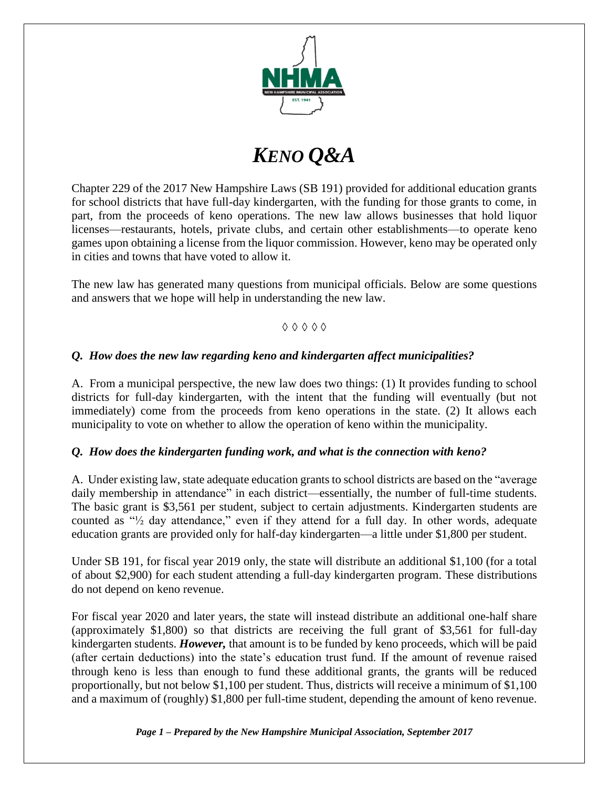

# *KENO Q&A*

Chapter 229 of the 2017 New Hampshire Laws (SB 191) provided for additional education grants for school districts that have full-day kindergarten, with the funding for those grants to come, in part, from the proceeds of keno operations. The new law allows businesses that hold liquor licenses—restaurants, hotels, private clubs, and certain other establishments—to operate keno games upon obtaining a license from the liquor commission. However, keno may be operated only in cities and towns that have voted to allow it.

The new law has generated many questions from municipal officials. Below are some questions and answers that we hope will help in understanding the new law.

#### $\Diamond \Diamond \Diamond \Diamond \Diamond$

## *Q. How does the new law regarding keno and kindergarten affect municipalities?*

A. From a municipal perspective, the new law does two things: (1) It provides funding to school districts for full-day kindergarten, with the intent that the funding will eventually (but not immediately) come from the proceeds from keno operations in the state. (2) It allows each municipality to vote on whether to allow the operation of keno within the municipality.

#### *Q. How does the kindergarten funding work, and what is the connection with keno?*

A. Under existing law, state adequate education grants to school districts are based on the "average daily membership in attendance" in each district—essentially, the number of full-time students. The basic grant is \$3,561 per student, subject to certain adjustments. Kindergarten students are counted as "½ day attendance," even if they attend for a full day. In other words, adequate education grants are provided only for half-day kindergarten—a little under \$1,800 per student.

Under SB 191, for fiscal year 2019 only, the state will distribute an additional \$1,100 (for a total of about \$2,900) for each student attending a full-day kindergarten program. These distributions do not depend on keno revenue.

For fiscal year 2020 and later years, the state will instead distribute an additional one-half share (approximately \$1,800) so that districts are receiving the full grant of \$3,561 for full-day kindergarten students. *However,* that amount is to be funded by keno proceeds, which will be paid (after certain deductions) into the state's education trust fund. If the amount of revenue raised through keno is less than enough to fund these additional grants, the grants will be reduced proportionally, but not below \$1,100 per student. Thus, districts will receive a minimum of \$1,100 and a maximum of (roughly) \$1,800 per full-time student, depending the amount of keno revenue.

*Page 1 – Prepared by the New Hampshire Municipal Association, September 2017*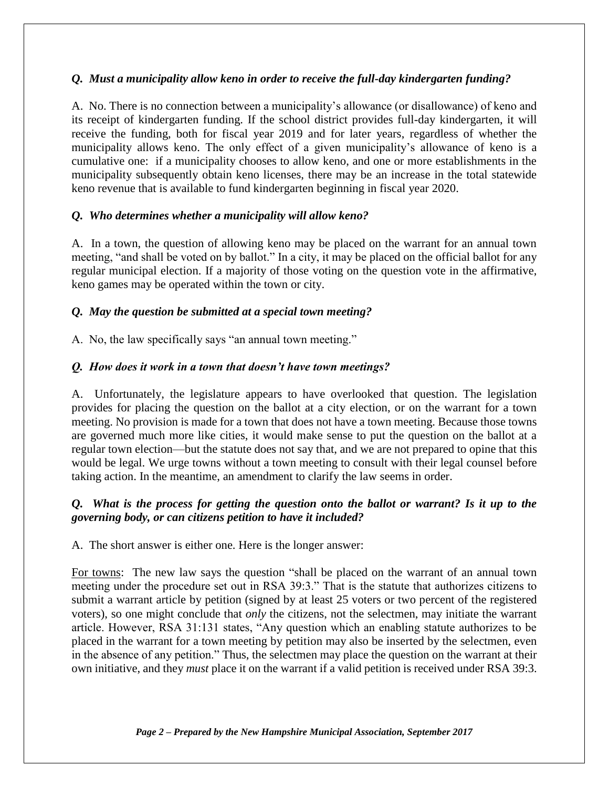## *Q. Must a municipality allow keno in order to receive the full-day kindergarten funding?*

A. No. There is no connection between a municipality's allowance (or disallowance) of keno and its receipt of kindergarten funding. If the school district provides full-day kindergarten, it will receive the funding, both for fiscal year 2019 and for later years, regardless of whether the municipality allows keno. The only effect of a given municipality's allowance of keno is a cumulative one: if a municipality chooses to allow keno, and one or more establishments in the municipality subsequently obtain keno licenses, there may be an increase in the total statewide keno revenue that is available to fund kindergarten beginning in fiscal year 2020.

## *Q. Who determines whether a municipality will allow keno?*

A. In a town, the question of allowing keno may be placed on the warrant for an annual town meeting, "and shall be voted on by ballot." In a city, it may be placed on the official ballot for any regular municipal election. If a majority of those voting on the question vote in the affirmative, keno games may be operated within the town or city.

#### *Q. May the question be submitted at a special town meeting?*

A. No, the law specifically says "an annual town meeting."

#### *Q. How does it work in a town that doesn't have town meetings?*

A. Unfortunately, the legislature appears to have overlooked that question. The legislation provides for placing the question on the ballot at a city election, or on the warrant for a town meeting. No provision is made for a town that does not have a town meeting. Because those towns are governed much more like cities, it would make sense to put the question on the ballot at a regular town election—but the statute does not say that, and we are not prepared to opine that this would be legal. We urge towns without a town meeting to consult with their legal counsel before taking action. In the meantime, an amendment to clarify the law seems in order.

## *Q. What is the process for getting the question onto the ballot or warrant? Is it up to the governing body, or can citizens petition to have it included?*

A. The short answer is either one. Here is the longer answer:

For towns: The new law says the question "shall be placed on the warrant of an annual town meeting under the procedure set out in RSA 39:3." That is the statute that authorizes citizens to submit a warrant article by petition (signed by at least 25 voters or two percent of the registered voters), so one might conclude that *only* the citizens, not the selectmen, may initiate the warrant article. However, RSA 31:131 states, "Any question which an enabling statute authorizes to be placed in the warrant for a town meeting by petition may also be inserted by the selectmen, even in the absence of any petition." Thus, the selectmen may place the question on the warrant at their own initiative, and they *must* place it on the warrant if a valid petition is received under RSA 39:3.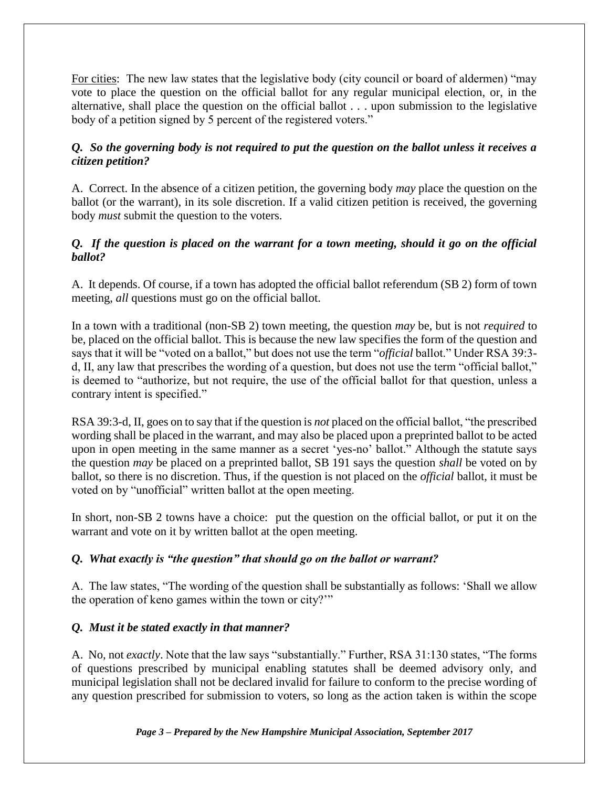For cities: The new law states that the legislative body (city council or board of aldermen) "may vote to place the question on the official ballot for any regular municipal election, or, in the alternative, shall place the question on the official ballot . . . upon submission to the legislative body of a petition signed by 5 percent of the registered voters."

## *Q. So the governing body is not required to put the question on the ballot unless it receives a citizen petition?*

A. Correct. In the absence of a citizen petition, the governing body *may* place the question on the ballot (or the warrant), in its sole discretion. If a valid citizen petition is received, the governing body *must* submit the question to the voters.

## *Q. If the question is placed on the warrant for a town meeting, should it go on the official ballot?*

A. It depends. Of course, if a town has adopted the official ballot referendum (SB 2) form of town meeting, *all* questions must go on the official ballot.

In a town with a traditional (non-SB 2) town meeting, the question *may* be, but is not *required* to be, placed on the official ballot. This is because the new law specifies the form of the question and says that it will be "voted on a ballot," but does not use the term "*official* ballot." Under RSA 39:3 d, II, any law that prescribes the wording of a question, but does not use the term "official ballot," is deemed to "authorize, but not require, the use of the official ballot for that question, unless a contrary intent is specified."

RSA 39:3-d, II, goes on to say that if the question is *not* placed on the official ballot, "the prescribed wording shall be placed in the warrant, and may also be placed upon a preprinted ballot to be acted upon in open meeting in the same manner as a secret 'yes-no' ballot." Although the statute says the question *may* be placed on a preprinted ballot, SB 191 says the question *shall* be voted on by ballot, so there is no discretion. Thus, if the question is not placed on the *official* ballot, it must be voted on by "unofficial" written ballot at the open meeting.

In short, non-SB 2 towns have a choice: put the question on the official ballot, or put it on the warrant and vote on it by written ballot at the open meeting.

# *Q. What exactly is "the question" that should go on the ballot or warrant?*

A. The law states, "The wording of the question shall be substantially as follows: 'Shall we allow the operation of keno games within the town or city?'"

# *Q. Must it be stated exactly in that manner?*

A. No, not *exactly*. Note that the law says "substantially." Further, RSA 31:130 states, "The forms of questions prescribed by municipal enabling statutes shall be deemed advisory only, and municipal legislation shall not be declared invalid for failure to conform to the precise wording of any question prescribed for submission to voters, so long as the action taken is within the scope

#### *Page 3 – Prepared by the New Hampshire Municipal Association, September 2017*